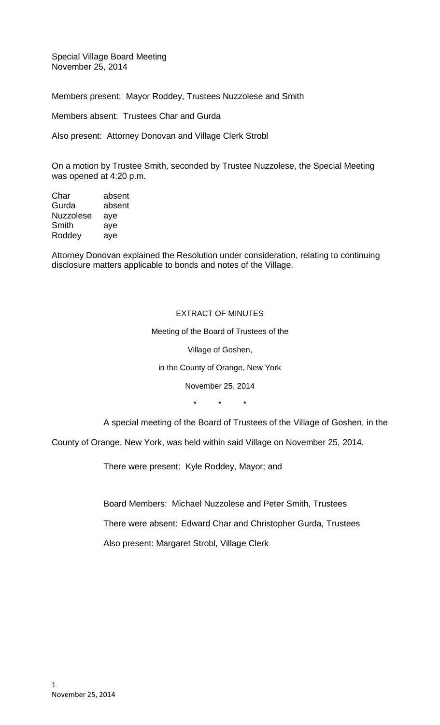Special Village Board Meeting November 25, 2014

Members present: Mayor Roddey, Trustees Nuzzolese and Smith

Members absent: Trustees Char and Gurda

Also present: Attorney Donovan and Village Clerk Strobl

On a motion by Trustee Smith, seconded by Trustee Nuzzolese, the Special Meeting was opened at 4:20 p.m.

| Char             | absent |
|------------------|--------|
| Gurda            | absent |
| <b>Nuzzolese</b> | aye    |
| Smith            | aye    |
| Roddey           | ave    |
|                  |        |

Attorney Donovan explained the Resolution under consideration, relating to continuing disclosure matters applicable to bonds and notes of the Village.

#### EXTRACT OF MINUTES

Meeting of the Board of Trustees of the

Village of Goshen,

in the County of Orange, New York

November 25, 2014

\* \* \*

A special meeting of the Board of Trustees of the Village of Goshen, in the

County of Orange, New York, was held within said Village on November 25, 2014.

There were present: Kyle Roddey, Mayor; and

Board Members: Michael Nuzzolese and Peter Smith, Trustees

There were absent: Edward Char and Christopher Gurda, Trustees

Also present: Margaret Strobl, Village Clerk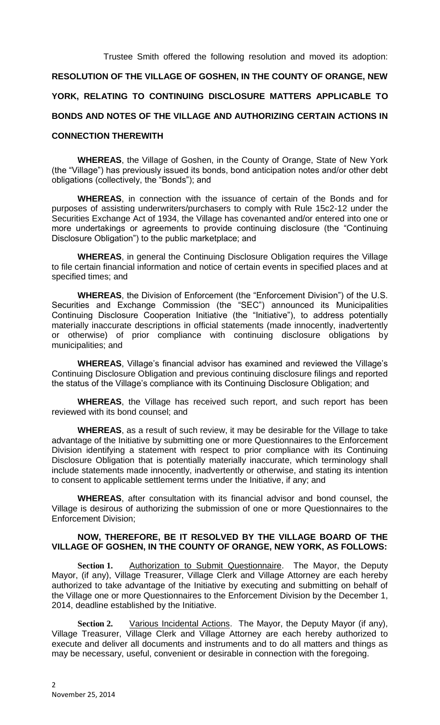Trustee Smith offered the following resolution and moved its adoption:

# **RESOLUTION OF THE VILLAGE OF GOSHEN, IN THE COUNTY OF ORANGE, NEW**

# **YORK, RELATING TO CONTINUING DISCLOSURE MATTERS APPLICABLE TO**

# **BONDS AND NOTES OF THE VILLAGE AND AUTHORIZING CERTAIN ACTIONS IN**

### **CONNECTION THEREWITH**

**WHEREAS**, the Village of Goshen, in the County of Orange, State of New York (the "Village") has previously issued its bonds, bond anticipation notes and/or other debt obligations (collectively, the "Bonds"); and

**WHEREAS**, in connection with the issuance of certain of the Bonds and for purposes of assisting underwriters/purchasers to comply with Rule 15c2-12 under the Securities Exchange Act of 1934, the Village has covenanted and/or entered into one or more undertakings or agreements to provide continuing disclosure (the "Continuing Disclosure Obligation") to the public marketplace; and

**WHEREAS**, in general the Continuing Disclosure Obligation requires the Village to file certain financial information and notice of certain events in specified places and at specified times; and

**WHEREAS**, the Division of Enforcement (the "Enforcement Division") of the U.S. Securities and Exchange Commission (the "SEC") announced its Municipalities Continuing Disclosure Cooperation Initiative (the "Initiative"), to address potentially materially inaccurate descriptions in official statements (made innocently, inadvertently or otherwise) of prior compliance with continuing disclosure obligations by municipalities; and

**WHEREAS**, Village's financial advisor has examined and reviewed the Village's Continuing Disclosure Obligation and previous continuing disclosure filings and reported the status of the Village's compliance with its Continuing Disclosure Obligation; and

**WHEREAS**, the Village has received such report, and such report has been reviewed with its bond counsel; and

**WHEREAS**, as a result of such review, it may be desirable for the Village to take advantage of the Initiative by submitting one or more Questionnaires to the Enforcement Division identifying a statement with respect to prior compliance with its Continuing Disclosure Obligation that is potentially materially inaccurate, which terminology shall include statements made innocently, inadvertently or otherwise, and stating its intention to consent to applicable settlement terms under the Initiative, if any; and

**WHEREAS**, after consultation with its financial advisor and bond counsel, the Village is desirous of authorizing the submission of one or more Questionnaires to the Enforcement Division;

#### **NOW, THEREFORE, BE IT RESOLVED BY THE VILLAGE BOARD OF THE VILLAGE OF GOSHEN, IN THE COUNTY OF ORANGE, NEW YORK, AS FOLLOWS:**

Section 1. Authorization to Submit Questionnaire. The Mayor, the Deputy Mayor, (if any), Village Treasurer, Village Clerk and Village Attorney are each hereby authorized to take advantage of the Initiative by executing and submitting on behalf of the Village one or more Questionnaires to the Enforcement Division by the December 1, 2014, deadline established by the Initiative.

Section 2. Various Incidental Actions. The Mayor, the Deputy Mayor (if any), Village Treasurer, Village Clerk and Village Attorney are each hereby authorized to execute and deliver all documents and instruments and to do all matters and things as may be necessary, useful, convenient or desirable in connection with the foregoing.